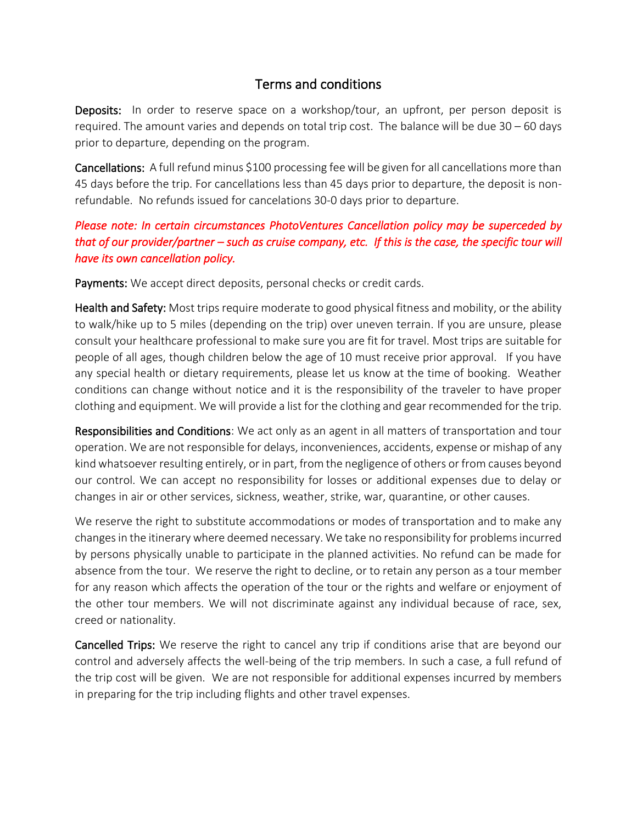## Terms and conditions

Deposits: In order to reserve space on a workshop/tour, an upfront, per person deposit is required. The amount varies and depends on total trip cost. The balance will be due 30 – 60 days prior to departure, depending on the program.

Cancellations: A full refund minus \$100 processing fee will be given for all cancellations more than 45 days before the trip. For cancellations less than 45 days prior to departure, the deposit is nonrefundable. No refunds issued for cancelations 30-0 days prior to departure.

## *Please note: In certain circumstances PhotoVentures Cancellation policy may be superceded by that of our provider/partner – such as cruise company, etc. If this is the case, the specific tour will have its own cancellation policy.*

Payments: We accept direct deposits, personal checks or credit cards.

Health and Safety: Most trips require moderate to good physical fitness and mobility, or the ability to walk/hike up to 5 miles (depending on the trip) over uneven terrain. If you are unsure, please consult your healthcare professional to make sure you are fit for travel. Most trips are suitable for people of all ages, though children below the age of 10 must receive prior approval. If you have any special health or dietary requirements, please let us know at the time of booking. Weather conditions can change without notice and it is the responsibility of the traveler to have proper clothing and equipment. We will provide a list for the clothing and gear recommended for the trip.

Responsibilities and Conditions: We act only as an agent in all matters of transportation and tour operation. We are not responsible for delays, inconveniences, accidents, expense or mishap of any kind whatsoever resulting entirely, or in part, from the negligence of others or from causes beyond our control. We can accept no responsibility for losses or additional expenses due to delay or changes in air or other services, sickness, weather, strike, war, quarantine, or other causes.

We reserve the right to substitute accommodations or modes of transportation and to make any changes in the itinerary where deemed necessary. We take no responsibility for problems incurred by persons physically unable to participate in the planned activities. No refund can be made for absence from the tour. We reserve the right to decline, or to retain any person as a tour member for any reason which affects the operation of the tour or the rights and welfare or enjoyment of the other tour members. We will not discriminate against any individual because of race, sex, creed or nationality.

Cancelled Trips: We reserve the right to cancel any trip if conditions arise that are beyond our control and adversely affects the well-being of the trip members. In such a case, a full refund of the trip cost will be given. We are not responsible for additional expenses incurred by members in preparing for the trip including flights and other travel expenses.